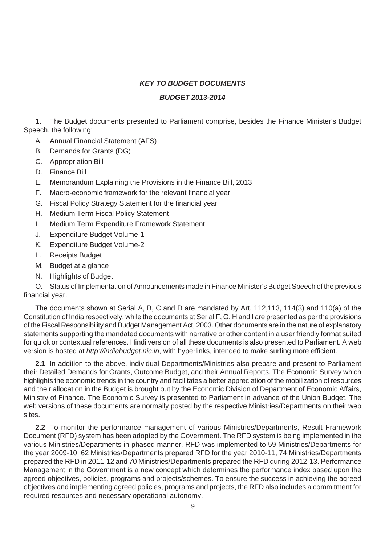## *KEY TO BUDGET DOCUMENTS*

#### *BUDGET 2013-2014*

**1.** The Budget documents presented to Parliament comprise, besides the Finance Minister's Budget Speech, the following:

- A. Annual Financial Statement (AFS)
- B. Demands for Grants (DG)
- C. Appropriation Bill
- D. Finance Bill
- E. Memorandum Explaining the Provisions in the Finance Bill, 2013
- F. Macro-economic framework for the relevant financial year
- G. Fiscal Policy Strategy Statement for the financial year
- H. Medium Term Fiscal Policy Statement
- I. Medium Term Expenditure Framework Statement
- J. Expenditure Budget Volume-1
- K. Expenditure Budget Volume-2
- L. Receipts Budget
- M. Budget at a glance
- N. Highlights of Budget

O. Status of Implementation of Announcements made in Finance Minister's Budget Speech of the previous financial year.

The documents shown at Serial A, B, C and D are mandated by Art. 112,113, 114(3) and 110(a) of the Constitution of India respectively, while the documents at Serial F, G, H and I are presented as per the provisions of the Fiscal Responsibility and Budget Management Act, 2003. Other documents are in the nature of explanatory statements supporting the mandated documents with narrative or other content in a user friendly format suited for quick or contextual references. Hindi version of all these documents is also presented to Parliament. A web version is hosted at *http://indiabudget.nic.in*, with hyperlinks, intended to make surfing more efficient.

**2.1** In addition to the above, individual Departments/Ministries also prepare and present to Parliament their Detailed Demands for Grants, Outcome Budget, and their Annual Reports. The Economic Survey which highlights the economic trends in the country and facilitates a better appreciation of the mobilization of resources and their allocation in the Budget is brought out by the Economic Division of Department of Economic Affairs, Ministry of Finance. The Economic Survey is presented to Parliament in advance of the Union Budget. The web versions of these documents are normally posted by the respective Ministries/Departments on their web sites.

**2.2** To monitor the performance management of various Ministries/Departments, Result Framework Document (RFD) system has been adopted by the Government. The RFD system is being implemented in the various Ministries/Departments in phased manner. RFD was implemented to 59 Ministries/Departments for the year 2009-10, 62 Ministries/Departments prepared RFD for the year 2010-11, 74 Ministries/Departments prepared the RFD in 2011-12 and 70 Ministries/Departments prepared the RFD during 2012-13. Performance Management in the Government is a new concept which determines the performance index based upon the agreed objectives, policies, programs and projects/schemes. To ensure the success in achieving the agreed objectives and implementing agreed policies, programs and projects, the RFD also includes a commitment for required resources and necessary operational autonomy.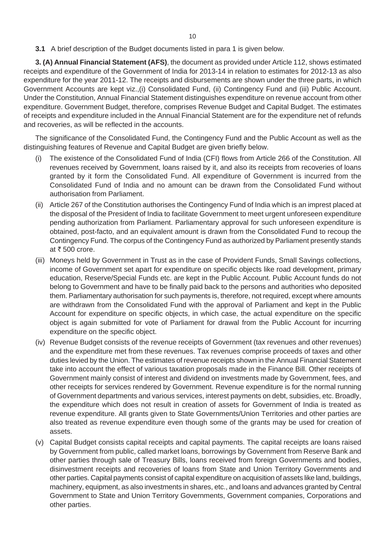**3.1** A brief description of the Budget documents listed in para 1 is given below.

**3. (A) Annual Financial Statement (AFS)**, the document as provided under Article 112, shows estimated receipts and expenditure of the Government of India for 2013-14 in relation to estimates for 2012-13 as also expenditure for the year 2011-12. The receipts and disbursements are shown under the three parts, in which Government Accounts are kept viz.,(i) Consolidated Fund, (ii) Contingency Fund and (iii) Public Account. Under the Constitution, Annual Financial Statement distinguishes expenditure on revenue account from other expenditure. Government Budget, therefore, comprises Revenue Budget and Capital Budget. The estimates of receipts and expenditure included in the Annual Financial Statement are for the expenditure net of refunds and recoveries, as will be reflected in the accounts.

The significance of the Consolidated Fund, the Contingency Fund and the Public Account as well as the distinguishing features of Revenue and Capital Budget are given briefly below.

- (i) The existence of the Consolidated Fund of India (CFI) flows from Article 266 of the Constitution. All revenues received by Government, loans raised by it, and also its receipts from recoveries of loans granted by it form the Consolidated Fund. All expenditure of Government is incurred from the Consolidated Fund of India and no amount can be drawn from the Consolidated Fund without authorisation from Parliament.
- (ii) Article 267 of the Constitution authorises the Contingency Fund of India which is an imprest placed at the disposal of the President of India to facilitate Government to meet urgent unforeseen expenditure pending authorization from Parliament. Parliamentary approval for such unforeseen expenditure is obtained, post-facto, and an equivalent amount is drawn from the Consolidated Fund to recoup the Contingency Fund. The corpus of the Contingency Fund as authorized by Parliament presently stands at  $\bar{\tau}$  500 crore.
- (iii) Moneys held by Government in Trust as in the case of Provident Funds, Small Savings collections, income of Government set apart for expenditure on specific objects like road development, primary education, Reserve/Special Funds etc. are kept in the Public Account. Public Account funds do not belong to Government and have to be finally paid back to the persons and authorities who deposited them. Parliamentary authorisation for such payments is, therefore, not required, except where amounts are withdrawn from the Consolidated Fund with the approval of Parliament and kept in the Public Account for expenditure on specific objects, in which case, the actual expenditure on the specific object is again submitted for vote of Parliament for drawal from the Public Account for incurring expenditure on the specific object.
- (iv) Revenue Budget consists of the revenue receipts of Government (tax revenues and other revenues) and the expenditure met from these revenues. Tax revenues comprise proceeds of taxes and other duties levied by the Union. The estimates of revenue receipts shown in the Annual Financial Statement take into account the effect of various taxation proposals made in the Finance Bill. Other receipts of Government mainly consist of interest and dividend on investments made by Government, fees, and other receipts for services rendered by Government. Revenue expenditure is for the normal running of Government departments and various services, interest payments on debt, subsidies, etc. Broadly, the expenditure which does not result in creation of assets for Government of India is treated as revenue expenditure. All grants given to State Governments/Union Territories and other parties are also treated as revenue expenditure even though some of the grants may be used for creation of assets.
- (v) Capital Budget consists capital receipts and capital payments. The capital receipts are loans raised by Government from public, called market loans, borrowings by Government from Reserve Bank and other parties through sale of Treasury Bills, loans received from foreign Governments and bodies, disinvestment receipts and recoveries of loans from State and Union Territory Governments and other parties. Capital payments consist of capital expenditure on acquisition of assets like land, buildings, machinery, equipment, as also investments in shares, etc., and loans and advances granted by Central Government to State and Union Territory Governments, Government companies, Corporations and other parties.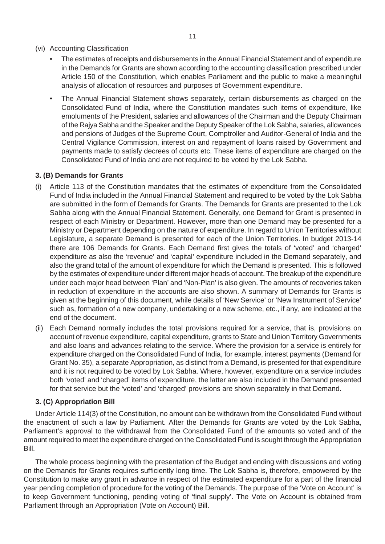- (vi) Accounting Classification
	- The estimates of receipts and disbursements in the Annual Financial Statement and of expenditure in the Demands for Grants are shown according to the accounting classification prescribed under Article 150 of the Constitution, which enables Parliament and the public to make a meaningful analysis of allocation of resources and purposes of Government expenditure.
	- The Annual Financial Statement shows separately, certain disbursements as charged on the Consolidated Fund of India, where the Constitution mandates such items of expenditure, like emoluments of the President, salaries and allowances of the Chairman and the Deputy Chairman of the Rajya Sabha and the Speaker and the Deputy Speaker of the Lok Sabha, salaries, allowances and pensions of Judges of the Supreme Court, Comptroller and Auditor-General of India and the Central Vigilance Commission, interest on and repayment of loans raised by Government and payments made to satisfy decrees of courts etc. These items of expenditure are charged on the Consolidated Fund of India and are not required to be voted by the Lok Sabha.

#### **3. (B) Demands for Grants**

- (i) Article 113 of the Constitution mandates that the estimates of expenditure from the Consolidated Fund of India included in the Annual Financial Statement and required to be voted by the Lok Sabha are submitted in the form of Demands for Grants. The Demands for Grants are presented to the Lok Sabha along with the Annual Financial Statement. Generally, one Demand for Grant is presented in respect of each Ministry or Department. However, more than one Demand may be presented for a Ministry or Department depending on the nature of expenditure. In regard to Union Territories without Legislature, a separate Demand is presented for each of the Union Territories. In budget 2013-14 there are 106 Demands for Grants. Each Demand first gives the totals of 'voted' and 'charged' expenditure as also the 'revenue' and 'capital' expenditure included in the Demand separately, and also the grand total of the amount of expenditure for which the Demand is presented. This is followed by the estimates of expenditure under different major heads of account. The breakup of the expenditure under each major head between 'Plan' and 'Non-Plan' is also given. The amounts of recoveries taken in reduction of expenditure in the accounts are also shown. A summary of Demands for Grants is given at the beginning of this document, while details of 'New Service' or 'New Instrument of Service' such as, formation of a new company, undertaking or a new scheme, etc., if any, are indicated at the end of the document.
- (ii) Each Demand normally includes the total provisions required for a service, that is, provisions on account of revenue expenditure, capital expenditure, grants to State and Union Territory Governments and also loans and advances relating to the service. Where the provision for a service is entirely for expenditure charged on the Consolidated Fund of India, for example, interest payments (Demand for Grant No. 35), a separate Appropriation, as distinct from a Demand, is presented for that expenditure and it is not required to be voted by Lok Sabha. Where, however, expenditure on a service includes both 'voted' and 'charged' items of expenditure, the latter are also included in the Demand presented for that service but the 'voted' and 'charged' provisions are shown separately in that Demand.

#### **3. (C) Appropriation Bill**

Under Article 114(3) of the Constitution, no amount can be withdrawn from the Consolidated Fund without the enactment of such a law by Parliament. After the Demands for Grants are voted by the Lok Sabha, Parliament's approval to the withdrawal from the Consolidated Fund of the amounts so voted and of the amount required to meet the expenditure charged on the Consolidated Fund is sought through the Appropriation Bill.

The whole process beginning with the presentation of the Budget and ending with discussions and voting on the Demands for Grants requires sufficiently long time. The Lok Sabha is, therefore, empowered by the Constitution to make any grant in advance in respect of the estimated expenditure for a part of the financial year pending completion of procedure for the voting of the Demands. The purpose of the 'Vote on Account' is to keep Government functioning, pending voting of 'final supply'. The Vote on Account is obtained from Parliament through an Appropriation (Vote on Account) Bill.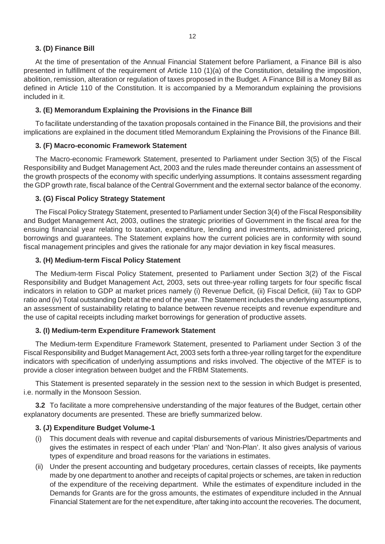#### **3. (D) Finance Bill**

At the time of presentation of the Annual Financial Statement before Parliament, a Finance Bill is also presented in fulfillment of the requirement of Article 110 (1)(a) of the Constitution, detailing the imposition, abolition, remission, alteration or regulation of taxes proposed in the Budget. A Finance Bill is a Money Bill as defined in Article 110 of the Constitution. It is accompanied by a Memorandum explaining the provisions included in it.

#### **3. (E) Memorandum Explaining the Provisions in the Finance Bill**

To facilitate understanding of the taxation proposals contained in the Finance Bill, the provisions and their implications are explained in the document titled Memorandum Explaining the Provisions of the Finance Bill.

### **3. (F) Macro-economic Framework Statement**

The Macro-economic Framework Statement, presented to Parliament under Section 3(5) of the Fiscal Responsibility and Budget Management Act, 2003 and the rules made thereunder contains an assessment of the growth prospects of the economy with specific underlying assumptions. It contains assessment regarding the GDP growth rate, fiscal balance of the Central Government and the external sector balance of the economy.

### **3. (G) Fiscal Policy Strategy Statement**

The Fiscal Policy Strategy Statement, presented to Parliament under Section 3(4) of the Fiscal Responsibility and Budget Management Act, 2003, outlines the strategic priorities of Government in the fiscal area for the ensuing financial year relating to taxation, expenditure, lending and investments, administered pricing, borrowings and guarantees. The Statement explains how the current policies are in conformity with sound fiscal management principles and gives the rationale for any major deviation in key fiscal measures.

### **3. (H) Medium-term Fiscal Policy Statement**

The Medium-term Fiscal Policy Statement, presented to Parliament under Section 3(2) of the Fiscal Responsibility and Budget Management Act, 2003, sets out three-year rolling targets for four specific fiscal indicators in relation to GDP at market prices namely (i) Revenue Deficit, (ii) Fiscal Deficit, (iii) Tax to GDP ratio and (iv) Total outstanding Debt at the end of the year. The Statement includes the underlying assumptions, an assessment of sustainability relating to balance between revenue receipts and revenue expenditure and the use of capital receipts including market borrowings for generation of productive assets.

## **3. (I) Medium-term Expenditure Framework Statement**

The Medium-term Expenditure Framework Statement, presented to Parliament under Section 3 of the Fiscal Responsibility and Budget Management Act, 2003 sets forth a three-year rolling target for the expenditure indicators with specification of underlying assumptions and risks involved. The objective of the MTEF is to provide a closer integration between budget and the FRBM Statements.

This Statement is presented separately in the session next to the session in which Budget is presented, i.e. normally in the Monsoon Session.

**3.2** To facilitate a more comprehensive understanding of the major features of the Budget, certain other explanatory documents are presented. These are briefly summarized below.

## **3. (J) Expenditure Budget Volume-1**

- (i) This document deals with revenue and capital disbursements of various Ministries/Departments and gives the estimates in respect of each under 'Plan' and 'Non-Plan'. It also gives analysis of various types of expenditure and broad reasons for the variations in estimates.
- (ii) Under the present accounting and budgetary procedures, certain classes of receipts, like payments made by one department to another and receipts of capital projects or schemes, are taken in reduction of the expenditure of the receiving department. While the estimates of expenditure included in the Demands for Grants are for the gross amounts, the estimates of expenditure included in the Annual Financial Statement are for the net expenditure, after taking into account the recoveries. The document,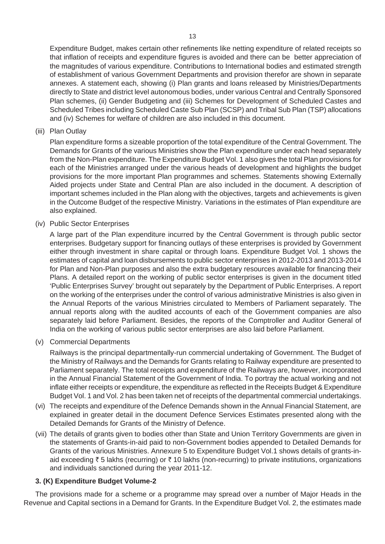Expenditure Budget, makes certain other refinements like netting expenditure of related receipts so that inflation of receipts and expenditure figures is avoided and there can be better appreciation of the magnitudes of various expenditure. Contributions to International bodies and estimated strength of establishment of various Government Departments and provision therefor are shown in separate annexes. A statement each, showing (i) Plan grants and loans released by Ministries/Departments directly to State and district level autonomous bodies, under various Central and Centrally Sponsored Plan schemes, (ii) Gender Budgeting and (iii) Schemes for Development of Scheduled Castes and Scheduled Tribes including Scheduled Caste Sub Plan (SCSP) and Tribal Sub Plan (TSP) allocations and (iv) Schemes for welfare of children are also included in this document.

#### (iii) Plan Outlay

Plan expenditure forms a sizeable proportion of the total expenditure of the Central Government. The Demands for Grants of the various Ministries show the Plan expenditure under each head separately from the Non-Plan expenditure. The Expenditure Budget Vol. 1 also gives the total Plan provisions for each of the Ministries arranged under the various heads of development and highlights the budget provisions for the more important Plan programmes and schemes. Statements showing Externally Aided projects under State and Central Plan are also included in the document. A description of important schemes included in the Plan along with the objectives, targets and achievements is given in the Outcome Budget of the respective Ministry. Variations in the estimates of Plan expenditure are also explained.

#### (iv) Public Sector Enterprises

A large part of the Plan expenditure incurred by the Central Government is through public sector enterprises. Budgetary support for financing outlays of these enterprises is provided by Government either through investment in share capital or through loans. Expenditure Budget Vol. 1 shows the estimates of capital and loan disbursements to public sector enterprises in 2012-2013 and 2013-2014 for Plan and Non-Plan purposes and also the extra budgetary resources available for financing their Plans. A detailed report on the working of public sector enterprises is given in the document titled 'Public Enterprises Survey' brought out separately by the Department of Public Enterprises. A report on the working of the enterprises under the control of various administrative Ministries is also given in the Annual Reports of the various Ministries circulated to Members of Parliament separately. The annual reports along with the audited accounts of each of the Government companies are also separately laid before Parliament. Besides, the reports of the Comptroller and Auditor General of India on the working of various public sector enterprises are also laid before Parliament.

(v) Commercial Departments

Railways is the principal departmentally-run commercial undertaking of Government. The Budget of the Ministry of Railways and the Demands for Grants relating to Railway expenditure are presented to Parliament separately. The total receipts and expenditure of the Railways are, however, incorporated in the Annual Financial Statement of the Government of India. To portray the actual working and not inflate either receipts or expenditure, the expenditure as reflected in the Receipts Budget & Expenditure Budget Vol. 1 and Vol. 2 has been taken net of receipts of the departmental commercial undertakings.

- (vi) The receipts and expenditure of the Defence Demands shown in the Annual Financial Statement, are explained in greater detail in the document Defence Services Estimates presented along with the Detailed Demands for Grants of the Ministry of Defence.
- (vii) The details of grants given to bodies other than State and Union Territory Governments are given in the statements of Grants-in-aid paid to non-Government bodies appended to Detailed Demands for Grants of the various Ministries. Annexure 5 to Expenditure Budget Vol.1 shows details of grants-inaid exceeding  $\bar{\tau}$  5 lakhs (recurring) or  $\bar{\tau}$  10 lakhs (non-recurring) to private institutions, organizations and individuals sanctioned during the year 2011-12.

#### **3. (K) Expenditure Budget Volume-2**

The provisions made for a scheme or a programme may spread over a number of Major Heads in the Revenue and Capital sections in a Demand for Grants. In the Expenditure Budget Vol. 2, the estimates made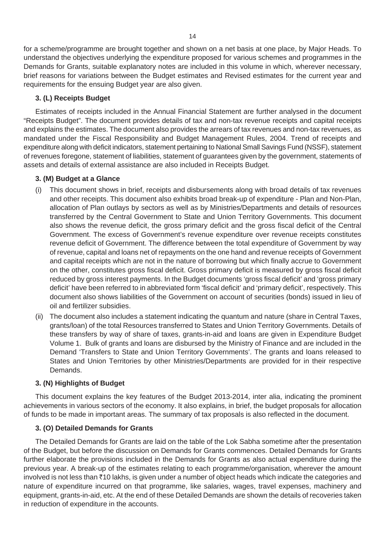for a scheme/programme are brought together and shown on a net basis at one place, by Major Heads. To understand the objectives underlying the expenditure proposed for various schemes and programmes in the Demands for Grants, suitable explanatory notes are included in this volume in which, wherever necessary, brief reasons for variations between the Budget estimates and Revised estimates for the current year and requirements for the ensuing Budget year are also given.

## **3. (L) Receipts Budget**

Estimates of receipts included in the Annual Financial Statement are further analysed in the document "Receipts Budget". The document provides details of tax and non-tax revenue receipts and capital receipts and explains the estimates. The document also provides the arrears of tax revenues and non-tax revenues, as mandated under the Fiscal Responsibility and Budget Management Rules, 2004. Trend of receipts and expenditure along with deficit indicators, statement pertaining to National Small Savings Fund (NSSF), statement of revenues foregone, statement of liabilities, statement of guarantees given by the government, statements of assets and details of external assistance are also included in Receipts Budget.

### **3. (M) Budget at a Glance**

- (i) This document shows in brief, receipts and disbursements along with broad details of tax revenues and other receipts. This document also exhibits broad break-up of expenditure - Plan and Non-Plan, allocation of Plan outlays by sectors as well as by Ministries/Departments and details of resources transferred by the Central Government to State and Union Territory Governments. This document also shows the revenue deficit, the gross primary deficit and the gross fiscal deficit of the Central Government. The excess of Government's revenue expenditure over revenue receipts constitutes revenue deficit of Government. The difference between the total expenditure of Government by way of revenue, capital and loans net of repayments on the one hand and revenue receipts of Government and capital receipts which are not in the nature of borrowing but which finally accrue to Government on the other, constitutes gross fiscal deficit. Gross primary deficit is measured by gross fiscal deficit reduced by gross interest payments. In the Budget documents 'gross fiscal deficit' and 'gross primary deficit' have been referred to in abbreviated form 'fiscal deficit' and 'primary deficit', respectively. This document also shows liabilities of the Government on account of securities (bonds) issued in lieu of oil and fertilizer subsidies.
- (ii) The document also includes a statement indicating the quantum and nature (share in Central Taxes, grants/loan) of the total Resources transferred to States and Union Territory Governments. Details of these transfers by way of share of taxes, grants-in-aid and loans are given in Expenditure Budget Volume 1. Bulk of grants and loans are disbursed by the Ministry of Finance and are included in the Demand 'Transfers to State and Union Territory Governments'. The grants and loans released to States and Union Territories by other Ministries/Departments are provided for in their respective Demands.

## **3. (N) Highlights of Budget**

This document explains the key features of the Budget 2013-2014, inter alia, indicating the prominent achievements in various sectors of the economy. It also explains, in brief, the budget proposals for allocation of funds to be made in important areas. The summary of tax proposals is also reflected in the document.

#### **3. (O) Detailed Demands for Grants**

The Detailed Demands for Grants are laid on the table of the Lok Sabha sometime after the presentation of the Budget, but before the discussion on Demands for Grants commences. Detailed Demands for Grants further elaborate the provisions included in the Demands for Grants as also actual expenditure during the previous year. A break-up of the estimates relating to each programme/organisation, wherever the amount involved is not less than ₹10 lakhs, is given under a number of object heads which indicate the categories and nature of expenditure incurred on that programme, like salaries, wages, travel expenses, machinery and equipment, grants-in-aid, etc. At the end of these Detailed Demands are shown the details of recoveries taken in reduction of expenditure in the accounts.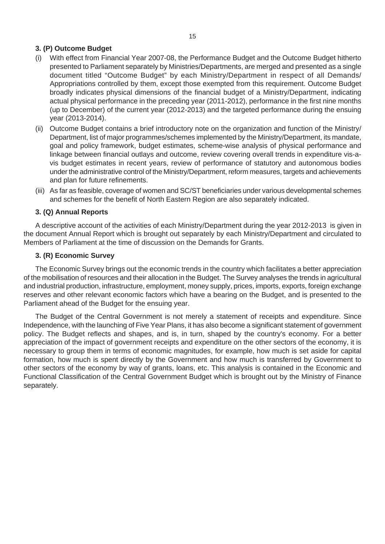## **3. (P) Outcome Budget**

- (i) With effect from Financial Year 2007-08, the Performance Budget and the Outcome Budget hitherto presented to Parliament separately by Ministries/Departments, are merged and presented as a single document titled "Outcome Budget" by each Ministry/Department in respect of all Demands/ Appropriations controlled by them, except those exempted from this requirement. Outcome Budget broadly indicates physical dimensions of the financial budget of a Ministry/Department, indicating actual physical performance in the preceding year (2011-2012), performance in the first nine months (up to December) of the current year (2012-2013) and the targeted performance during the ensuing year (2013-2014).
- (ii) Outcome Budget contains a brief introductory note on the organization and function of the Ministry/ Department, list of major programmes/schemes implemented by the Ministry/Department, its mandate, goal and policy framework, budget estimates, scheme-wise analysis of physical performance and linkage between financial outlays and outcome, review covering overall trends in expenditure vis-avis budget estimates in recent years, review of performance of statutory and autonomous bodies under the administrative control of the Ministry/Department, reform measures, targets and achievements and plan for future refinements.
- (iii) As far as feasible, coverage of women and SC/ST beneficiaries under various developmental schemes and schemes for the benefit of North Eastern Region are also separately indicated.

### **3. (Q) Annual Reports**

A descriptive account of the activities of each Ministry/Department during the year 2012-2013 is given in the document Annual Report which is brought out separately by each Ministry/Department and circulated to Members of Parliament at the time of discussion on the Demands for Grants.

#### **3. (R) Economic Survey**

The Economic Survey brings out the economic trends in the country which facilitates a better appreciation of the mobilisation of resources and their allocation in the Budget. The Survey analyses the trends in agricultural and industrial production, infrastructure, employment, money supply, prices, imports, exports, foreign exchange reserves and other relevant economic factors which have a bearing on the Budget, and is presented to the Parliament ahead of the Budget for the ensuing year.

The Budget of the Central Government is not merely a statement of receipts and expenditure. Since Independence, with the launching of Five Year Plans, it has also become a significant statement of government policy. The Budget reflects and shapes, and is, in turn, shaped by the country's economy. For a better appreciation of the impact of government receipts and expenditure on the other sectors of the economy, it is necessary to group them in terms of economic magnitudes, for example, how much is set aside for capital formation, how much is spent directly by the Government and how much is transferred by Government to other sectors of the economy by way of grants, loans, etc. This analysis is contained in the Economic and Functional Classification of the Central Government Budget which is brought out by the Ministry of Finance separately.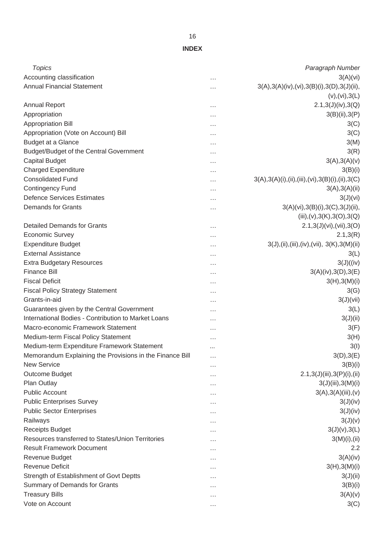# 16

## **INDEX**

| <b>Topics</b>                                            |                      | Paragraph Number                                     |
|----------------------------------------------------------|----------------------|------------------------------------------------------|
| Accounting classification                                | .                    | 3(A)(vi)                                             |
| <b>Annual Financial Statement</b>                        | $\cdots$             | $3(A),3(A)(iv),(vi),3(B)(i),3(D),3(J)(ii),$          |
|                                                          |                      | (v), (vi), 3(L)                                      |
| <b>Annual Report</b>                                     | .                    | 2.1,3(J)(iv),3(Q)                                    |
| Appropriation                                            | $\cdots$             | 3(B)(ii), 3(P)                                       |
| Appropriation Bill                                       | .                    | 3(C)                                                 |
| Appropriation (Vote on Account) Bill                     | $\cdots$             | 3(C)                                                 |
| <b>Budget at a Glance</b>                                | $\cdots$             | 3(M)                                                 |
| Budget/Budget of the Central Government                  |                      | 3(R)                                                 |
| <b>Capital Budget</b>                                    | .                    | 3(A), 3(A)(v)                                        |
| <b>Charged Expenditure</b>                               | .                    |                                                      |
| <b>Consolidated Fund</b>                                 | .                    | 3(B)(i)                                              |
|                                                          | $\cdots$             | $3(A),3(A)(i), (ii), (iii), (vi),3(B)(i), (ii),3(C)$ |
| <b>Contingency Fund</b>                                  | $\cdots$             | 3(A), 3(A)(ii)                                       |
| <b>Defence Services Estimates</b>                        | $\cdots$             | 3(J)(vi)                                             |
| <b>Demands for Grants</b>                                | .                    | 3(A)(vi),3(B)(i),3(C),3(J)(ii),                      |
|                                                          |                      | (iii), (v), 3(K), 3(O), 3(Q)                         |
| <b>Detailed Demands for Grants</b>                       | .                    | 2.1,3(J)(vi),(vii),3(O)                              |
| <b>Economic Survey</b>                                   | $\cdots$             | 2.1,3(R)                                             |
| <b>Expenditure Budget</b>                                | $\cdots$             | $3(J), (ii), (iii), (iv), (vii), 3(K), 3(M)$ (ii)    |
| <b>External Assistance</b>                               | .                    | 3(L)                                                 |
| <b>Extra Budgetary Resources</b>                         | $\cdots$             | 3(J)((iv))                                           |
| <b>Finance Bill</b>                                      | .                    | 3(A)(iv),3(D),3(E)                                   |
| <b>Fiscal Deficit</b>                                    | $\cdots$             | 3(H), 3(M)(i)                                        |
| <b>Fiscal Policy Strategy Statement</b>                  | $\cdots$             | 3(G)                                                 |
| Grants-in-aid                                            | $\cdots$             | 3(J)(vii)                                            |
| Guarantees given by the Central Government               | $\cdots$             | 3(L)                                                 |
| International Bodies - Contribution to Market Loans      | $\cdots$             | 3(J)(ii)                                             |
| Macro-economic Framework Statement                       | $\cdots$             | 3(F)                                                 |
| Medium-term Fiscal Policy Statement                      | .                    | 3(H)                                                 |
| Medium-term Expenditure Framework Statement              | $\cdots$             | 3(l)                                                 |
| Memorandum Explaining the Provisions in the Finance Bill |                      | 3(D), 3(E)                                           |
| <b>New Service</b>                                       | $\cdots$             | 3(B)(i)                                              |
| Outcome Budget                                           | $\cdots$             | 2.1,3(J)(iii),3(P)(i),(ii)                           |
| Plan Outlay                                              | .                    |                                                      |
| <b>Public Account</b>                                    | $\cdots$             | 3(J)(iii), 3(M)(i)                                   |
|                                                          | $\cdots$             | 3(A),3(A)(iii), (v)                                  |
| <b>Public Enterprises Survey</b>                         | $\cdots$             | 3(J)(iv)                                             |
| <b>Public Sector Enterprises</b>                         | $\cdots$             | 3(J)(iv)                                             |
| Railways                                                 | .                    | 3(J)(v)                                              |
| <b>Receipts Budget</b>                                   | $\cdots$             | 3(J)(v), 3(L)                                        |
| Resources transferred to States/Union Territories        | $\cdots$             | 3(M)(i),(ii)                                         |
| <b>Result Framework Document</b>                         | $\sim$ $\sim$ $\sim$ | 2.2                                                  |
| Revenue Budget                                           | $\cdots$             | 3(A)(iv)                                             |
| <b>Revenue Deficit</b>                                   | .                    | 3(H), 3(M)(i)                                        |
| Strength of Establishment of Govt Deptts                 | $\cdots$             | 3(J)(ii)                                             |
| Summary of Demands for Grants                            | $\cdots$             | 3(B)(i)                                              |
| <b>Treasury Bills</b>                                    | $\sim$ $\sim$ $\sim$ | 3(A)(v)                                              |
| Vote on Account                                          | $\sim$ $\sim$ $\sim$ | 3(C)                                                 |